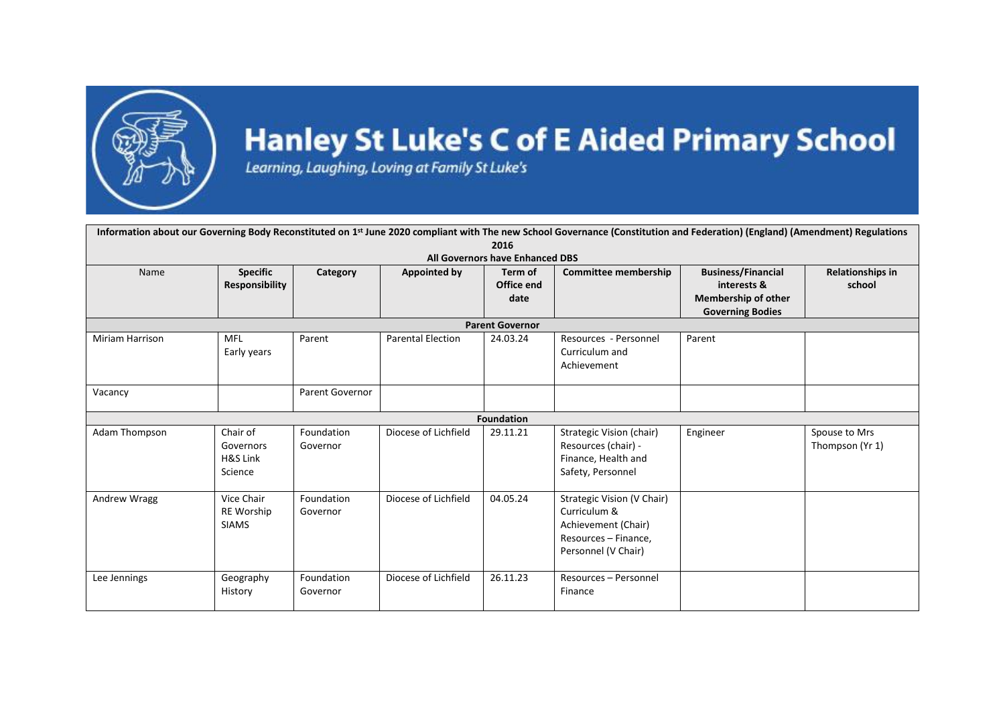

## **Hanley St Luke's C of E Aided Primary School**

Learning, Laughing, Loving at Family St Luke's

| Information about our Governing Body Reconstituted on 1 <sup>st</sup> June 2020 compliant with The new School Governance (Constitution and Federation) (England) (Amendment) Regulations |                                                 |                        |                          |                               |                                                                                                                  |                                                                                                   |                                  |  |  |  |  |  |
|------------------------------------------------------------------------------------------------------------------------------------------------------------------------------------------|-------------------------------------------------|------------------------|--------------------------|-------------------------------|------------------------------------------------------------------------------------------------------------------|---------------------------------------------------------------------------------------------------|----------------------------------|--|--|--|--|--|
| 2016<br>All Governors have Enhanced DBS                                                                                                                                                  |                                                 |                        |                          |                               |                                                                                                                  |                                                                                                   |                                  |  |  |  |  |  |
| Name                                                                                                                                                                                     | <b>Specific</b><br><b>Responsibility</b>        | Category               | Appointed by             | Term of<br>Office end<br>date | <b>Committee membership</b>                                                                                      | <b>Business/Financial</b><br>interests &<br><b>Membership of other</b><br><b>Governing Bodies</b> | Relationships in<br>school       |  |  |  |  |  |
| <b>Parent Governor</b>                                                                                                                                                                   |                                                 |                        |                          |                               |                                                                                                                  |                                                                                                   |                                  |  |  |  |  |  |
| Miriam Harrison                                                                                                                                                                          | MFL<br>Early years                              | Parent                 | <b>Parental Election</b> | 24.03.24                      | Resources - Personnel<br>Curriculum and<br>Achievement                                                           | Parent                                                                                            |                                  |  |  |  |  |  |
| Vacancy                                                                                                                                                                                  |                                                 | Parent Governor        |                          |                               |                                                                                                                  |                                                                                                   |                                  |  |  |  |  |  |
| <b>Foundation</b>                                                                                                                                                                        |                                                 |                        |                          |                               |                                                                                                                  |                                                                                                   |                                  |  |  |  |  |  |
| Adam Thompson                                                                                                                                                                            | Chair of<br>Governors<br>H&S Link<br>Science    | Foundation<br>Governor | Diocese of Lichfield     | 29.11.21                      | Strategic Vision (chair)<br>Resources (chair) -<br>Finance, Health and<br>Safety, Personnel                      | Engineer                                                                                          | Spouse to Mrs<br>Thompson (Yr 1) |  |  |  |  |  |
| Andrew Wragg                                                                                                                                                                             | Vice Chair<br><b>RE Worship</b><br><b>SIAMS</b> | Foundation<br>Governor | Diocese of Lichfield     | 04.05.24                      | Strategic Vision (V Chair)<br>Curriculum &<br>Achievement (Chair)<br>Resources - Finance,<br>Personnel (V Chair) |                                                                                                   |                                  |  |  |  |  |  |
| Lee Jennings                                                                                                                                                                             | Geography<br>History                            | Foundation<br>Governor | Diocese of Lichfield     | 26.11.23                      | Resources - Personnel<br>Finance                                                                                 |                                                                                                   |                                  |  |  |  |  |  |